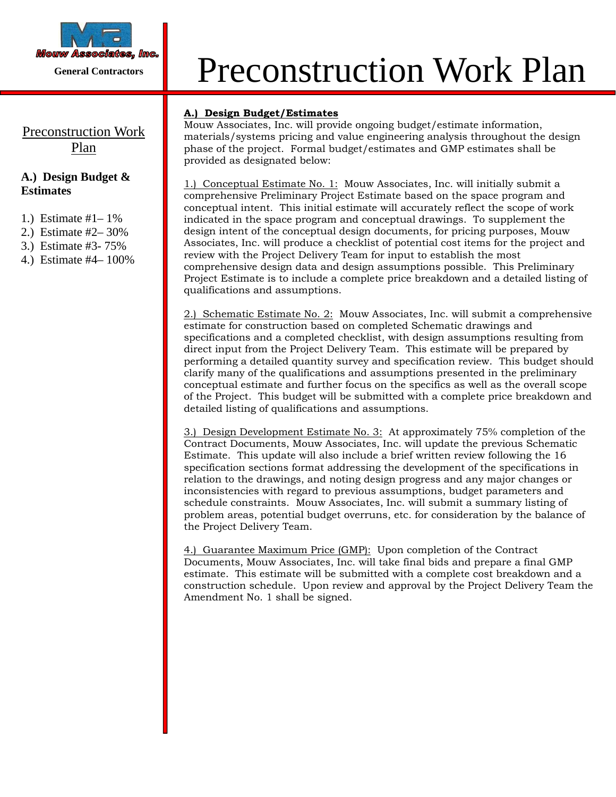

# Preconstruction Work Plan

### **A.) Design Budget & Estimates**

- 1.) Estimate #1– 1%
- 2.) Estimate #2– 30%
- 3.) Estimate #3- 75%
- 4.) Estimate #4– 100%

# *Mouw Associates, Inc.* Preconstruction Work Plan

#### **A.) Design Budget/Estimates**

Mouw Associates, Inc. will provide ongoing budget/estimate information, materials/systems pricing and value engineering analysis throughout the design phase of the project. Formal budget/estimates and GMP estimates shall be provided as designated below:

1.) Conceptual Estimate No. 1: Mouw Associates, Inc. will initially submit a comprehensive Preliminary Project Estimate based on the space program and conceptual intent. This initial estimate will accurately reflect the scope of work indicated in the space program and conceptual drawings. To supplement the design intent of the conceptual design documents, for pricing purposes, Mouw Associates, Inc. will produce a checklist of potential cost items for the project and review with the Project Delivery Team for input to establish the most comprehensive design data and design assumptions possible. This Preliminary Project Estimate is to include a complete price breakdown and a detailed listing of qualifications and assumptions.

2.) Schematic Estimate No. 2: Mouw Associates, Inc. will submit a comprehensive estimate for construction based on completed Schematic drawings and specifications and a completed checklist, with design assumptions resulting from direct input from the Project Delivery Team. This estimate will be prepared by performing a detailed quantity survey and specification review. This budget should clarify many of the qualifications and assumptions presented in the preliminary conceptual estimate and further focus on the specifics as well as the overall scope of the Project. This budget will be submitted with a complete price breakdown and detailed listing of qualifications and assumptions.

3.) Design Development Estimate No. 3: At approximately 75% completion of the Contract Documents, Mouw Associates, Inc. will update the previous Schematic Estimate. This update will also include a brief written review following the 16 specification sections format addressing the development of the specifications in relation to the drawings, and noting design progress and any major changes or inconsistencies with regard to previous assumptions, budget parameters and schedule constraints. Mouw Associates, Inc. will submit a summary listing of problem areas, potential budget overruns, etc. for consideration by the balance of the Project Delivery Team.

4.) Guarantee Maximum Price (GMP): Upon completion of the Contract Documents, Mouw Associates, Inc. will take final bids and prepare a final GMP estimate. This estimate will be submitted with a complete cost breakdown and a construction schedule. Upon review and approval by the Project Delivery Team the Amendment No. 1 shall be signed.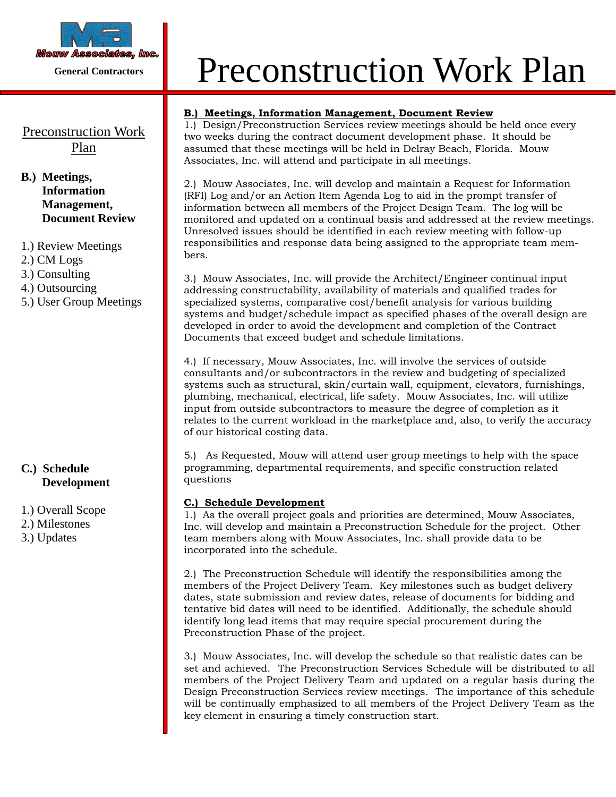

# Preconstruction Work Plan

#### **B.) Meetings, Information Management, Document Review**

- 1.) Review Meetings
- 2.) CM Logs
- 3.) Consulting
- 4.) Outsourcing
- 5.) User Group Meetings

#### **C.) Schedule Development**

1.) Overall Scope 2.) Milestones 3.) Updates

# *Mouw Associates, Inc.* Preconstruction Work Plan

#### **B.) Meetings, Information Management, Document Review**

1.) Design/Preconstruction Services review meetings should be held once every two weeks during the contract document development phase. It should be assumed that these meetings will be held in Delray Beach, Florida. Mouw Associates, Inc. will attend and participate in all meetings.

2.) Mouw Associates, Inc. will develop and maintain a Request for Information (RFI) Log and/or an Action Item Agenda Log to aid in the prompt transfer of information between all members of the Project Design Team. The log will be monitored and updated on a continual basis and addressed at the review meetings. Unresolved issues should be identified in each review meeting with follow-up responsibilities and response data being assigned to the appropriate team members.

3.) Mouw Associates, Inc. will provide the Architect/Engineer continual input addressing constructability, availability of materials and qualified trades for specialized systems, comparative cost/benefit analysis for various building systems and budget/schedule impact as specified phases of the overall design are developed in order to avoid the development and completion of the Contract Documents that exceed budget and schedule limitations.

4.) If necessary, Mouw Associates, Inc. will involve the services of outside consultants and/or subcontractors in the review and budgeting of specialized systems such as structural, skin/curtain wall, equipment, elevators, furnishings, plumbing, mechanical, electrical, life safety. Mouw Associates, Inc. will utilize input from outside subcontractors to measure the degree of completion as it relates to the current workload in the marketplace and, also, to verify the accuracy of our historical costing data.

5.) As Requested, Mouw will attend user group meetings to help with the space programming, departmental requirements, and specific construction related questions

#### **C.) Schedule Development**

1.) As the overall project goals and priorities are determined, Mouw Associates, Inc. will develop and maintain a Preconstruction Schedule for the project. Other team members along with Mouw Associates, Inc. shall provide data to be incorporated into the schedule.

2.) The Preconstruction Schedule will identify the responsibilities among the members of the Project Delivery Team. Key milestones such as budget delivery dates, state submission and review dates, release of documents for bidding and tentative bid dates will need to be identified. Additionally, the schedule should identify long lead items that may require special procurement during the Preconstruction Phase of the project.

3.) Mouw Associates, Inc. will develop the schedule so that realistic dates can be set and achieved. The Preconstruction Services Schedule will be distributed to all members of the Project Delivery Team and updated on a regular basis during the Design Preconstruction Services review meetings. The importance of this schedule will be continually emphasized to all members of the Project Delivery Team as the key element in ensuring a timely construction start.